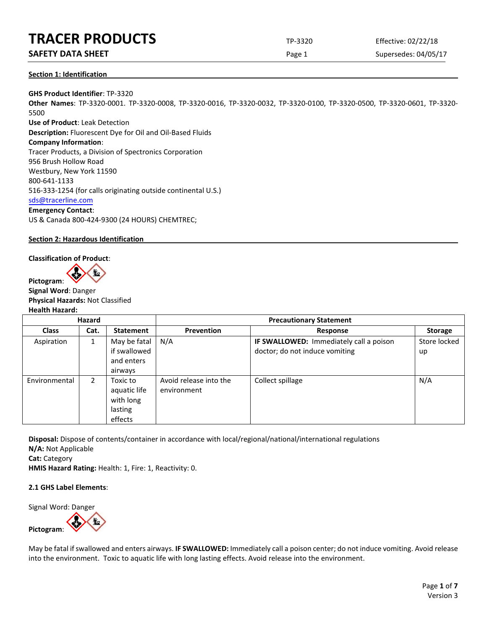## **SAFETY DATA SHEET EXECUTE:** Page 1 Supersedes: 04/05/17

### **Section 1: Identification**

**GHS Product Identifier**: TP-3320 **Other Names**: TP-3320-0001. TP-3320-0008, TP-3320-0016, TP-3320-0032, TP-3320-0100, TP-3320-0500, TP-3320-0601, TP-3320- 5500 **Use of Product**: Leak Detection **Description:** Fluorescent Dye for Oil and Oil-Based Fluids

**Company Information**:

Tracer Products, a Division of Spectronics Corporation 956 Brush Hollow Road Westbury, New York 11590 800-641-1133 516-333-1254 (for calls originating outside continental U.S.) [sds@tracerline.com](mailto:sds@tracerline.com)

## **Emergency Contact**:

US & Canada 800-424-9300 (24 HOURS) CHEMTREC;

## **Section 2: Hazardous Identification**

## **Classification of Product**:

**Pictogram**:

**Signal Word**: Danger **Physical Hazards:** Not Classified **Health Hazard:**

| Hazard        |                |                                                             | <b>Precautionary Statement</b>        |                                                                                  |                    |  |  |
|---------------|----------------|-------------------------------------------------------------|---------------------------------------|----------------------------------------------------------------------------------|--------------------|--|--|
| <b>Class</b>  | Cat.           | <b>Statement</b>                                            | Prevention                            | <b>Response</b>                                                                  | <b>Storage</b>     |  |  |
| Aspiration    | 1              | May be fatal<br>if swallowed<br>and enters<br>airways       | N/A                                   | <b>IF SWALLOWED:</b> Immediately call a poison<br>doctor; do not induce vomiting | Store locked<br>up |  |  |
| Environmental | $\overline{2}$ | Toxic to<br>aquatic life<br>with long<br>lasting<br>effects | Avoid release into the<br>environment | Collect spillage                                                                 | N/A                |  |  |

**Disposal:** Dispose of contents/container in accordance with local/regional/national/international regulations **N/A:** Not Applicable

**Cat:** Category

**HMIS Hazard Rating:** Health: 1, Fire: 1, Reactivity: 0.

## **2.1 GHS Label Elements**:

Signal Word: Danger

**Pictogram**:

May be fatal if swallowed and enters airways. **IF SWALLOWED:** Immediately call a poison center; do not induce vomiting. Avoid release

into the environment. Toxic to aquatic life with long lasting effects. Avoid release into the environment.

Page **1** of **7** Version 3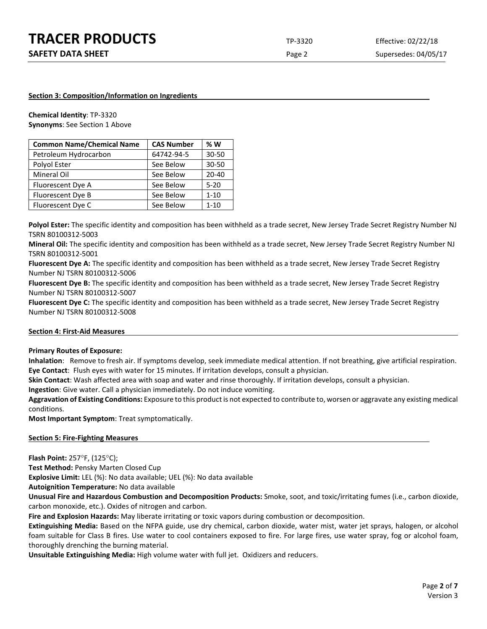#### **Section 3: Composition/Information on Ingredients**

**Chemical Identity**: TP-3320 **Synonyms**: See Section 1 Above

| <b>Common Name/Chemical Name</b> | <b>CAS Number</b> | % W       |
|----------------------------------|-------------------|-----------|
| Petroleum Hydrocarbon            | 64742-94-5        | $30 - 50$ |
| Polyol Ester                     | See Below         | $30 - 50$ |
| Mineral Oil                      | See Below         | $20 - 40$ |
| Fluorescent Dye A                | See Below         | $5 - 20$  |
| Fluorescent Dye B                | See Below         | $1 - 10$  |
| Fluorescent Dye C                | See Below         | $1 - 10$  |

**Polyol Ester:** The specific identity and composition has been withheld as a trade secret, New Jersey Trade Secret Registry Number NJ TSRN 80100312-5003

**Mineral Oil:** The specific identity and composition has been withheld as a trade secret, New Jersey Trade Secret Registry Number NJ TSRN 80100312-5001

**Fluorescent Dye A:** The specific identity and composition has been withheld as a trade secret, New Jersey Trade Secret Registry Number NJ TSRN 80100312-5006

**Fluorescent Dye B:** The specific identity and composition has been withheld as a trade secret, New Jersey Trade Secret Registry Number NJ TSRN 80100312-5007

**Fluorescent Dye C:** The specific identity and composition has been withheld as a trade secret, New Jersey Trade Secret Registry Number NJ TSRN 80100312-5008

#### **Section 4: First-Aid Measures**

#### **Primary Routes of Exposure:**

**Inhalation**: Remove to fresh air. If symptoms develop, seek immediate medical attention. If not breathing, give artificial respiration. **Eye Contact**: Flush eyes with water for 15 minutes. If irritation develops, consult a physician.

**Skin Contact**: Wash affected area with soap and water and rinse thoroughly. If irritation develops, consult a physician.

**Ingestion**: Give water. Call a physician immediately. Do not induce vomiting.

**Aggravation of Existing Conditions:** Exposure to this product is not expected to contribute to, worsen or aggravate any existing medical conditions.

**Most Important Symptom**: Treat symptomatically.

#### **Section 5: Fire-Fighting Measures**

**Flash Point:** 257°F, (125°C);

**Test Method:** Pensky Marten Closed Cup

**Explosive Limit:** LEL (%): No data available; UEL (%): No data available

**Autoignition Temperature:** No data available

**Unusual Fire and Hazardous Combustion and Decomposition Products:** Smoke, soot, and toxic/irritating fumes (i.e., carbon dioxide, carbon monoxide, etc.). Oxides of nitrogen and carbon.

**Fire and Explosion Hazards:** May liberate irritating or toxic vapors during combustion or decomposition.

**Extinguishing Media:** Based on the NFPA guide, use dry chemical, carbon dioxide, water mist, water jet sprays, halogen, or alcohol foam suitable for Class B fires. Use water to cool containers exposed to fire. For large fires, use water spray, fog or alcohol foam, thoroughly drenching the burning material.

**Unsuitable Extinguishing Media:** High volume water with full jet. Oxidizers and reducers.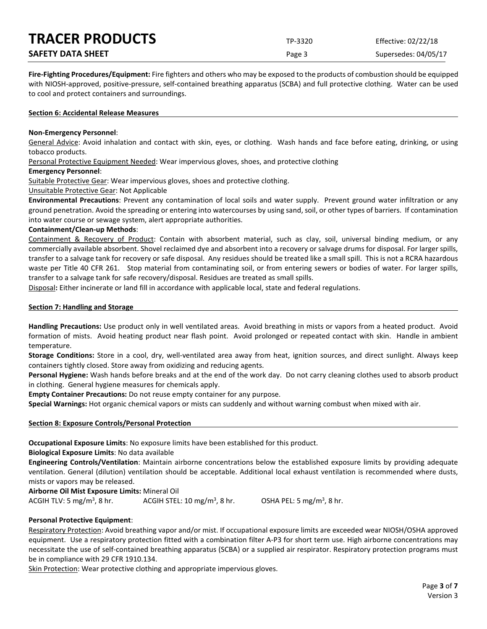| <b>TRACER PRODUCTS</b>   | TP-3320 | Effective: 02/22/18  |
|--------------------------|---------|----------------------|
| <b>SAFETY DATA SHEET</b> | Page 3  | Supersedes: 04/05/17 |

**Fire-Fighting Procedures/Equipment:** Fire fighters and others who may be exposed to the products of combustion should be equipped with NIOSH-approved, positive-pressure, self-contained breathing apparatus (SCBA) and full protective clothing. Water can be used to cool and protect containers and surroundings.

#### **Section 6: Accidental Release Measures**

#### **Non-Emergency Personnel**:

General Advice: Avoid inhalation and contact with skin, eyes, or clothing. Wash hands and face before eating, drinking, or using tobacco products.

Personal Protective Equipment Needed: Wear impervious gloves, shoes, and protective clothing

#### **Emergency Personnel**:

Suitable Protective Gear: Wear impervious gloves, shoes and protective clothing.

Unsuitable Protective Gear: Not Applicable

**Environmental Precautions**: Prevent any contamination of local soils and water supply. Prevent ground water infiltration or any ground penetration. Avoid the spreading or entering into watercourses by using sand, soil, or other types of barriers. If contamination into water course or sewage system, alert appropriate authorities.

#### **Containment/Clean-up Methods**:

Containment & Recovery of Product: Contain with absorbent material, such as clay, soil, universal binding medium, or any commercially available absorbent. Shovel reclaimed dye and absorbent into a recovery or salvage drums for disposal. For larger spills, transfer to a salvage tank for recovery or safe disposal. Any residues should be treated like a small spill. This is not a RCRA hazardous waste per Title 40 CFR 261. Stop material from contaminating soil, or from entering sewers or bodies of water. For larger spills, transfer to a salvage tank for safe recovery/disposal. Residues are treated as small spills.

Disposal**:** Either incinerate or land fill in accordance with applicable local, state and federal regulations.

#### **Section 7: Handling and Storage**

**Handling Precautions:** Use product only in well ventilated areas. Avoid breathing in mists or vapors from a heated product. Avoid formation of mists. Avoid heating product near flash point. Avoid prolonged or repeated contact with skin. Handle in ambient temperature.

**Storage Conditions:** Store in a cool, dry, well-ventilated area away from heat, ignition sources, and direct sunlight. Always keep containers tightly closed. Store away from oxidizing and reducing agents.

**Personal Hygiene:** Wash hands before breaks and at the end of the work day. Do not carry cleaning clothes used to absorb product in clothing. General hygiene measures for chemicals apply.

**Empty Container Precautions:** Do not reuse empty container for any purpose.

**Special Warnings:** Hot organic chemical vapors or mists can suddenly and without warning combust when mixed with air.

## **Section 8: Exposure Controls/Personal Protection**

**Occupational Exposure Limits**: No exposure limits have been established for this product.

**Biological Exposure Limits**: No data available

**Engineering Controls/Ventilation**: Maintain airborne concentrations below the established exposure limits by providing adequate ventilation. General (dilution) ventilation should be acceptable. Additional local exhaust ventilation is recommended where dusts, mists or vapors may be released.

**Airborne Oil Mist Exposure Limits:** Mineral Oil

ACGIH TLV: 5 mg/m<sup>3</sup>, 8 hr. ACGIH STEL: 10 mg/m<sup>3</sup>, 8 hr. , 8 hr.  $OSHA$  PEL: 5 mg/m<sup>3</sup>, 8 hr.

## **Personal Protective Equipment**:

Respiratory Protection: Avoid breathing vapor and/or mist. If occupational exposure limits are exceeded wear NIOSH/OSHA approved equipment. Use a respiratory protection fitted with a combination filter A-P3 for short term use. High airborne concentrations may necessitate the use of self-contained breathing apparatus (SCBA) or a supplied air respirator. Respiratory protection programs must be in compliance with 29 CFR 1910.134.

Skin Protection: Wear protective clothing and appropriate impervious gloves.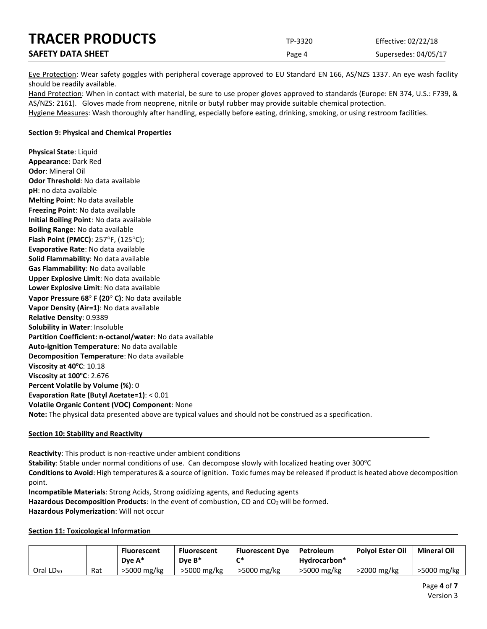| <b>TRACER PRODUCTS</b>   | TP-3320 | Effective: 02/22/18  |
|--------------------------|---------|----------------------|
| <b>SAFETY DATA SHEET</b> | Page 4  | Supersedes: 04/05/17 |

Eye Protection: Wear safety goggles with peripheral coverage approved to EU Standard EN 166, AS/NZS 1337. An eye wash facility should be readily available.

Hand Protection: When in contact with material, be sure to use proper gloves approved to standards (Europe: EN 374, U.S.: F739, & AS/NZS: 2161). Gloves made from neoprene, nitrile or butyl rubber may provide suitable chemical protection. Hygiene Measures: Wash thoroughly after handling, especially before eating, drinking, smoking, or using restroom facilities.

#### **Section 9: Physical and Chemical Properties**

**Physical State**: Liquid **Appearance**: Dark Red **Odor**: Mineral Oil **Odor Threshold**: No data available **pH**: no data available **Melting Point**: No data available **Freezing Point**: No data available **Initial Boiling Point**: No data available **Boiling Range**: No data available **Flash Point (PMCC)**: 257°F, (125°C); **Evaporative Rate**: No data available **Solid Flammability**: No data available **Gas Flammability**: No data available **Upper Explosive Limit**: No data available **Lower Explosive Limit**: No data available **Vapor Pressure 68**° **F (20**° **C)**: No data available **Vapor Density (Air=1)**: No data available **Relative Density**: 0.9389 **Solubility in Water**: Insoluble **Partition Coefficient: n-octanol/water**: No data available **Auto-ignition Temperature**: No data available **Decomposition Temperature**: No data available **Viscosity at 40°C**: 10.18 **Viscosity at 100°C**: 2.676 **Percent Volatile by Volume (%)**: 0 **Evaporation Rate (Butyl Acetate=1)**: < 0.01 **Volatile Organic Content (VOC) Component**: None **Note:** The physical data presented above are typical values and should not be construed as a specification.

#### **Section 10: Stability and Reactivity**

**Reactivity**: This product is non-reactive under ambient conditions

Stability: Stable under normal conditions of use. Can decompose slowly with localized heating over 300°C **Conditions to Avoid**: High temperatures & a source of ignition. Toxic fumes may be released if product is heated above decomposition point.

**Incompatible Materials**: Strong Acids, Strong oxidizing agents, and Reducing agents

Hazardous Decomposition Products: In the event of combustion, CO and CO<sub>2</sub> will be formed.

**Hazardous Polymerization**: Will not occur

#### **Section 11: Toxicological Information**

|                       |     | <b>Fluorescent</b><br>Dve $A^*$ | <b>Fluorescent</b><br>Dve $B^*$ | <b>Fluorescent Dye</b><br>r* | Petroleum<br>Hydrocarbon* | <b>Polvol Ester Oil</b> | <b>Mineral Oil</b> |
|-----------------------|-----|---------------------------------|---------------------------------|------------------------------|---------------------------|-------------------------|--------------------|
| Oral LD <sub>50</sub> | Rat | >5000 mg/kg                     | >5000 mg/kg                     | >5000 mg/kg                  | >5000 mg/kg               | $>$ 2000 mg/kg          | >5000 mg/kg        |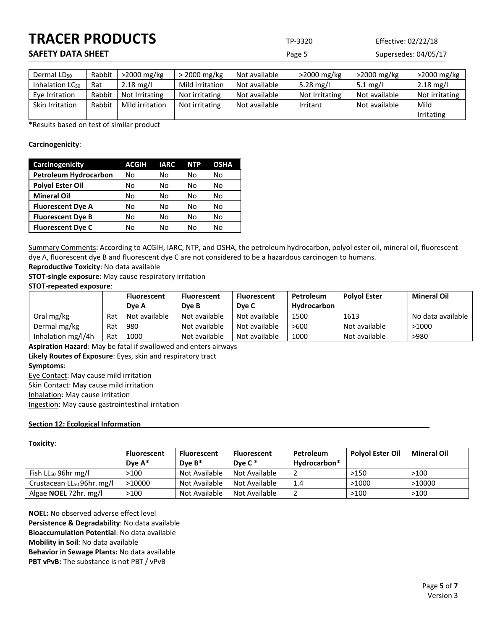## **SAFETY DATA SHEET EXECUTE:** Page 5 Supersedes: 04/05/17

| Dermal LD <sub>50</sub> | Rabbit | $>$ 2000 mg/kg      | $>$ 2000 mg/kg  | Not available | $>$ 2000 mg/kg | $>$ 2000 mg/kg | >2000 mg/kg         |
|-------------------------|--------|---------------------|-----------------|---------------|----------------|----------------|---------------------|
| Inhalation $LC_{50}$    | Rat    | $2.18 \text{ mg/l}$ | Mild irritation | Not available | 5.28 mg/l      | 5.1 mg/l       | $2.18 \text{ mg/l}$ |
| Eve Irritation          | Rabbit | Not Irritating      | Not irritating  | Not available | Not Irritating | Not available  | Not irritating      |
| Skin Irritation         | Rabbit | Mild irritation     | Not irritating  | Not available | Irritant       | Not available  | Mild                |
|                         |        |                     |                 |               |                |                | Irritating          |

\*Results based on test of similar product

## **Carcinogenicity**:

| Carcinogenicity              | <b>ACGIH</b> | <b>IARC</b> | <b>NTP</b> | <b>OSHA</b> |
|------------------------------|--------------|-------------|------------|-------------|
| <b>Petroleum Hydrocarbon</b> | No           | No          | No         | No          |
| <b>Polyol Ester Oil</b>      | No           | N٥          | Nο         | No          |
| <b>Mineral Oil</b>           | No           | No          | No         | No          |
| <b>Fluorescent Dye A</b>     | No           | No          | No         | No          |
| <b>Fluorescent Dye B</b>     | No           | N٥          | No         | No          |
| <b>Fluorescent Dye C</b>     | No           | N٥          | Nο         | N٥          |

Summary Comments: According to ACGIH, IARC, NTP, and OSHA, the petroleum hydrocarbon, polyol ester oil, mineral oil, fluorescent dye A, fluorescent dye B and fluorescent dye C are not considered to be a hazardous carcinogen to humans.

**Reproductive Toxicity**: No data available

**STOT-single exposure**: May cause respiratory irritation

## **STOT-repeated exposure**:

|                    |     | <b>Fluorescent</b> | <b>Fluorescent</b> | <b>Fluorescent</b> | Petroleum   | <b>Polvol Ester</b> | <b>Mineral Oil</b> |
|--------------------|-----|--------------------|--------------------|--------------------|-------------|---------------------|--------------------|
|                    |     | Dve A              | Dve B              | Dye C              | Hydrocarbon |                     |                    |
| Oral mg/kg         | Rat | Not available      | Not available      | Not available      | 1500        | 1613                | No data available  |
| Dermal mg/kg       | Rat | 980                | Not available      | Not available      | >600        | Not available       | >1000              |
| Inhalation mg/l/4h | Rat | 1000               | Not available      | Not available      | 1000        | Not available       | >980               |

**Aspiration Hazard**: May be fatal if swallowed and enters airways **Likely Routes of Exposure**: Eyes, skin and respiratory tract **Symptoms**: Eye Contact: May cause mild irritation Skin Contact: May cause mild irritation

Inhalation: May cause irritation

Ingestion: May cause gastrointestinal irritation

## **Section 12: Ecological Information**

### **Toxicity**:

|                                        | <b>Fluorescent</b><br>Dve $A^*$ | <b>Fluorescent</b><br>Dve $B^*$ | <b>Fluorescent</b><br>Dve $C^*$ | Petroleum<br>Hydrocarbon* | <b>Polyol Ester Oil</b> | <b>Mineral Oil</b> |
|----------------------------------------|---------------------------------|---------------------------------|---------------------------------|---------------------------|-------------------------|--------------------|
| Fish $LL_{50}$ 96hr mg/l               | >100                            | Not Available                   | Not Available                   |                           | >150                    | >100               |
| Crustacean LL <sub>50</sub> 96hr. mg/l | >10000                          | Not Available                   | Not Available                   | 1.4                       | >1000                   | >10000             |
| Algae <b>NOEL</b> 72hr. mg/l           | >100                            | Not Available                   | Not Available                   |                           | >100                    | >100               |

**NOEL:** No observed adverse effect level **Persistence & Degradability**: No data available **Bioaccumulation Potential**: No data available **Mobility in Soil**: No data available **Behavior in Sewage Plants:** No data available **PBT vPvB:** The substance is not PBT / vPvB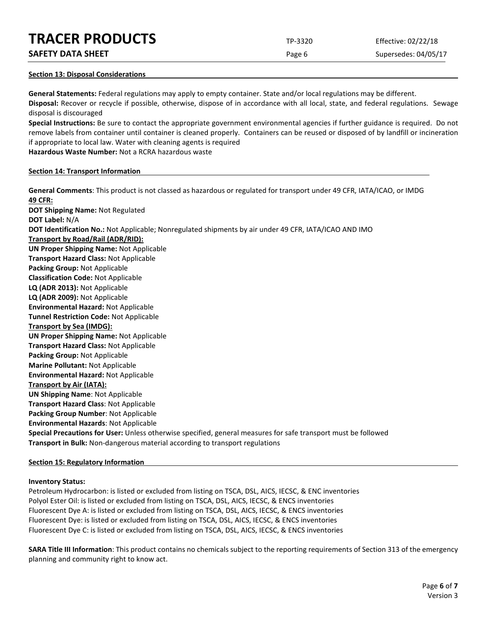**SAFETY DATA SHEET** SUPERFOUR CONSUMING THE Page 6 Supersedes: 04/05/17

## **Section 13: Disposal Considerations**

**General Statements:** Federal regulations may apply to empty container. State and/or local regulations may be different. **Disposal:** Recover or recycle if possible, otherwise, dispose of in accordance with all local, state, and federal regulations. Sewage disposal is discouraged

**Special Instructions:** Be sure to contact the appropriate government environmental agencies if further guidance is required. Do not remove labels from container until container is cleaned properly. Containers can be reused or disposed of by landfill or incineration if appropriate to local law. Water with cleaning agents is required

**Hazardous Waste Number:** Not a RCRA hazardous waste

## **Section 14: Transport Information**

**General Comments**: This product is not classed as hazardous or regulated for transport under 49 CFR, IATA/ICAO, or IMDG **49 CFR: DOT Shipping Name:** Not Regulated **DOT Label:** N/A **DOT Identification No.:** Not Applicable; Nonregulated shipments by air under 49 CFR, IATA/ICAO AND IMO **Transport by Road/Rail (ADR/RID): UN Proper Shipping Name:** Not Applicable **Transport Hazard Class:** Not Applicable **Packing Group:** Not Applicable **Classification Code:** Not Applicable **LQ (ADR 2013):** Not Applicable **LQ (ADR 2009):** Not Applicable **Environmental Hazard:** Not Applicable **Tunnel Restriction Code:** Not Applicable **Transport by Sea (IMDG): UN Proper Shipping Name:** Not Applicable **Transport Hazard Class:** Not Applicable **Packing Group:** Not Applicable **Marine Pollutant:** Not Applicable **Environmental Hazard:** Not Applicable **Transport by Air (IATA): UN Shipping Name**: Not Applicable **Transport Hazard Class**: Not Applicable **Packing Group Number**: Not Applicable **Environmental Hazards**: Not Applicable **Special Precautions for User:** Unless otherwise specified, general measures for safe transport must be followed **Transport in Bulk:** Non-dangerous material according to transport regulations

## **Section 15: Regulatory Information**

## **Inventory Status:**

Petroleum Hydrocarbon: is listed or excluded from listing on TSCA, DSL, AICS, IECSC, & ENC inventories Polyol Ester Oil: is listed or excluded from listing on TSCA, DSL, AICS, IECSC, & ENCS inventories Fluorescent Dye A: is listed or excluded from listing on TSCA, DSL, AICS, IECSC, & ENCS inventories Fluorescent Dye: is listed or excluded from listing on TSCA, DSL, AICS, IECSC, & ENCS inventories Fluorescent Dye C: is listed or excluded from listing on TSCA, DSL, AICS, IECSC, & ENCS inventories

**SARA Title III Information**: This product contains no chemicals subject to the reporting requirements of Section 313 of the emergency planning and community right to know act.